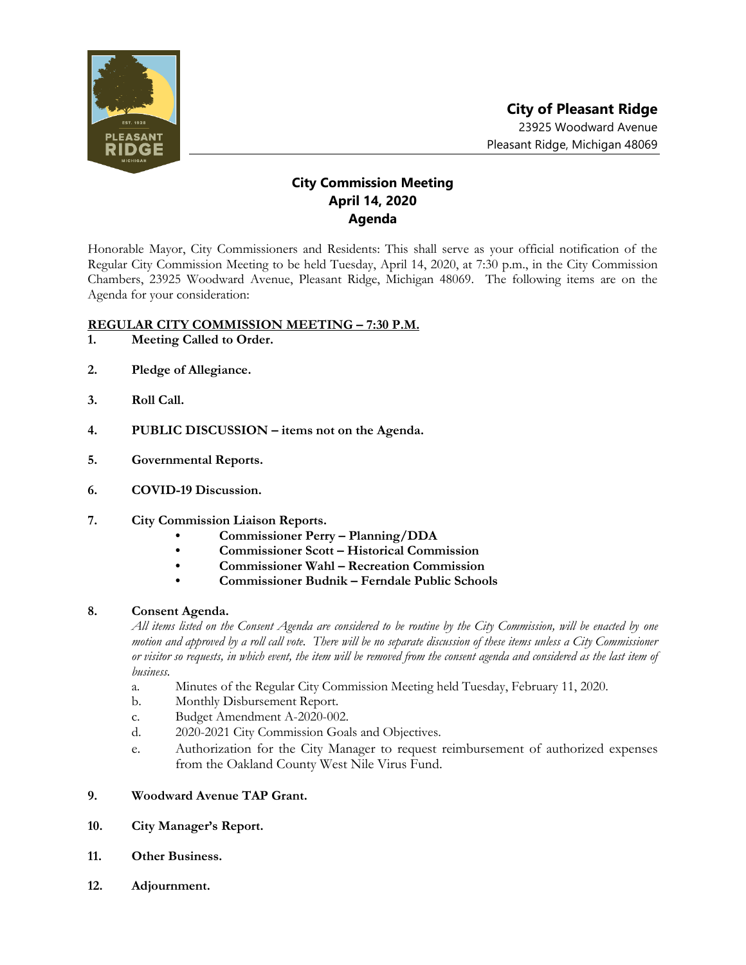

## **City Commission Meeting April 14, 2020 Agenda**

Honorable Mayor, City Commissioners and Residents: This shall serve as your official notification of the Regular City Commission Meeting to be held Tuesday, April 14, 2020, at 7:30 p.m., in the City Commission Chambers, 23925 Woodward Avenue, Pleasant Ridge, Michigan 48069. The following items are on the Agenda for your consideration:

## **REGULAR CITY COMMISSION MEETING – 7:30 P.M.**

- **1. Meeting Called to Order.**
- **2. Pledge of Allegiance.**
- **3. Roll Call.**
- **4. PUBLIC DISCUSSION – items not on the Agenda.**
- **5. Governmental Reports.**
- **6. COVID-19 Discussion.**
- **7. City Commission Liaison Reports.**
	- **• Commissioner Perry – Planning/DDA**
	- **• Commissioner Scott – Historical Commission**
	- **• Commissioner Wahl – Recreation Commission**
	- **• Commissioner Budnik – Ferndale Public Schools**

## **8. Consent Agenda.**

*All items listed on the Consent Agenda are considered to be routine by the City Commission, will be enacted by one motion and approved by a roll call vote. There will be no separate discussion of these items unless a City Commissioner or visitor so requests, in which event, the item will be removed from the consent agenda and considered as the last item of business.*

- a. Minutes of the Regular City Commission Meeting held Tuesday, February 11, 2020.
- b. Monthly Disbursement Report.
- c. Budget Amendment A-2020-002.
- d. 2020-2021 City Commission Goals and Objectives.
- e. Authorization for the City Manager to request reimbursement of authorized expenses from the Oakland County West Nile Virus Fund.
- **9. Woodward Avenue TAP Grant.**
- **10. City Manager's Report.**
- **11. Other Business.**
- **12. Adjournment.**